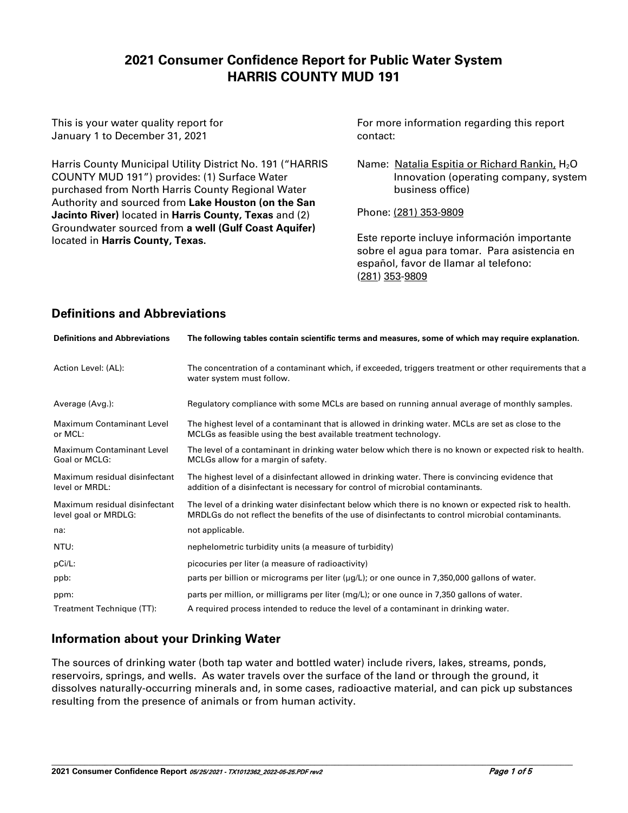# **2021 Consumer Confidence Report for Public Water System HARRIS COUNTY MUD 191**

This is your water quality report for January 1 to December 31, 2021

Harris County Municipal Utility District No. 191 ("HARRIS COUNTY MUD 191") provides: (1) Surface Water purchased from North Harris County Regional Water Authority and sourced from **Lake Houston (on the San Jacinto River)** located in **Harris County, Texas** and (2) Groundwater sourced from **a well (Gulf Coast Aquifer)**  located in **Harris County, Texas.**

For more information regarding this report contact:

Name: Natalia Espitia or Richard Rankin, H<sub>2</sub>O Innovation (operating company, system business office)

Phone: (281) 353-9809

Este reporte incluye información importante sobre el agua para tomar. Para asistencia en español, favor de llamar al telefono: (281) 353-9809

# **Definitions and Abbreviations**

| <b>Definitions and Abbreviations</b>                  | The following tables contain scientific terms and measures, some of which may require explanation.                                                                                                        |
|-------------------------------------------------------|-----------------------------------------------------------------------------------------------------------------------------------------------------------------------------------------------------------|
| Action Level: (AL):                                   | The concentration of a contaminant which, if exceeded, triggers treatment or other requirements that a<br>water system must follow.                                                                       |
| Average (Avg.):                                       | Regulatory compliance with some MCLs are based on running annual average of monthly samples.                                                                                                              |
| Maximum Contaminant Level<br>or MCL:                  | The highest level of a contaminant that is allowed in drinking water. MCLs are set as close to the<br>MCLGs as feasible using the best available treatment technology.                                    |
| <b>Maximum Contaminant Level</b><br>Goal or MCLG:     | The level of a contaminant in drinking water below which there is no known or expected risk to health.<br>MCLGs allow for a margin of safety.                                                             |
| Maximum residual disinfectant<br>level or MRDL:       | The highest level of a disinfectant allowed in drinking water. There is convincing evidence that<br>addition of a disinfectant is necessary for control of microbial contaminants.                        |
| Maximum residual disinfectant<br>level goal or MRDLG: | The level of a drinking water disinfectant below which there is no known or expected risk to health.<br>MRDLGs do not reflect the benefits of the use of disinfectants to control microbial contaminants. |
| na:                                                   | not applicable.                                                                                                                                                                                           |
| NTU:                                                  | nephelometric turbidity units (a measure of turbidity)                                                                                                                                                    |
| pCi/L:                                                | picocuries per liter (a measure of radioactivity)                                                                                                                                                         |
| ppb:                                                  | parts per billion or micrograms per liter $(\mu g/L)$ ; or one ounce in 7,350,000 gallons of water.                                                                                                       |
| ppm:                                                  | parts per million, or milligrams per liter (mg/L); or one ounce in 7,350 gallons of water.                                                                                                                |
| Treatment Technique (TT):                             | A required process intended to reduce the level of a contaminant in drinking water.                                                                                                                       |

## **Information about your Drinking Water**

The sources of drinking water (both tap water and bottled water) include rivers, lakes, streams, ponds, reservoirs, springs, and wells. As water travels over the surface of the land or through the ground, it dissolves naturally-occurring minerals and, in some cases, radioactive material, and can pick up substances resulting from the presence of animals or from human activity.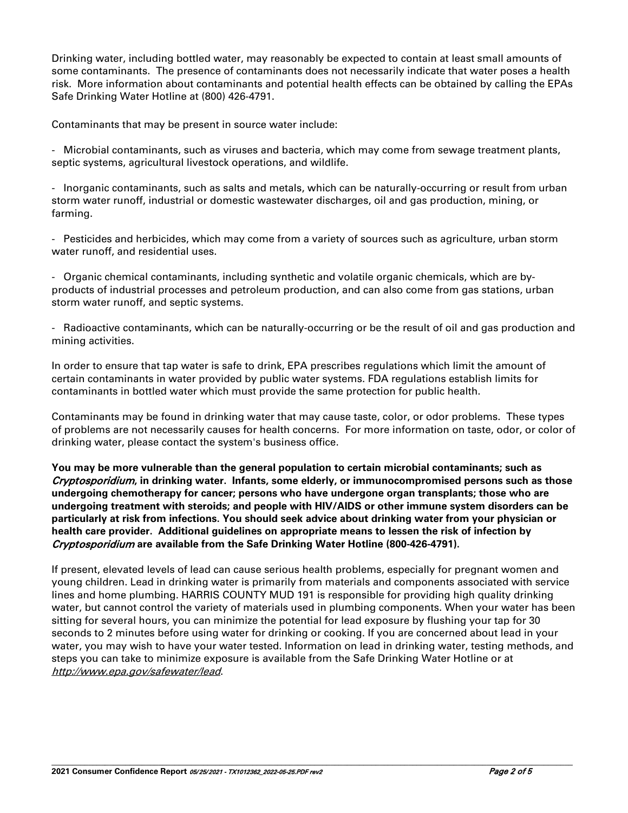Drinking water, including bottled water, may reasonably be expected to contain at least small amounts of some contaminants. The presence of contaminants does not necessarily indicate that water poses a health risk. More information about contaminants and potential health effects can be obtained by calling the EPAs Safe Drinking Water Hotline at (800) 426-4791.

Contaminants that may be present in source water include:

- Microbial contaminants, such as viruses and bacteria, which may come from sewage treatment plants, septic systems, agricultural livestock operations, and wildlife.

- Inorganic contaminants, such as salts and metals, which can be naturally-occurring or result from urban storm water runoff, industrial or domestic wastewater discharges, oil and gas production, mining, or farming.

- Pesticides and herbicides, which may come from a variety of sources such as agriculture, urban storm water runoff, and residential uses.

- Organic chemical contaminants, including synthetic and volatile organic chemicals, which are byproducts of industrial processes and petroleum production, and can also come from gas stations, urban storm water runoff, and septic systems.

- Radioactive contaminants, which can be naturally-occurring or be the result of oil and gas production and mining activities.

In order to ensure that tap water is safe to drink, EPA prescribes regulations which limit the amount of certain contaminants in water provided by public water systems. FDA regulations establish limits for contaminants in bottled water which must provide the same protection for public health.

Contaminants may be found in drinking water that may cause taste, color, or odor problems. These types of problems are not necessarily causes for health concerns. For more information on taste, odor, or color of drinking water, please contact the system's business office.

**You may be more vulnerable than the general population to certain microbial contaminants; such as**  Cryptosporidium**, in drinking water. Infants, some elderly, or immunocompromised persons such as those undergoing chemotherapy for cancer; persons who have undergone organ transplants; those who are undergoing treatment with steroids; and people with HIV/AIDS or other immune system disorders can be particularly at risk from infections. You should seek advice about drinking water from your physician or health care provider. Additional guidelines on appropriate means to lessen the risk of infection by**  Cryptosporidium **are available from the Safe Drinking Water Hotline (800-426-4791).**

If present, elevated levels of lead can cause serious health problems, especially for pregnant women and young children. Lead in drinking water is primarily from materials and components associated with service lines and home plumbing. HARRIS COUNTY MUD 191 is responsible for providing high quality drinking water, but cannot control the variety of materials used in plumbing components. When your water has been sitting for several hours, you can minimize the potential for lead exposure by flushing your tap for 30 seconds to 2 minutes before using water for drinking or cooking. If you are concerned about lead in your water, you may wish to have your water tested. Information on lead in drinking water, testing methods, and steps you can take to minimize exposure is available from the Safe Drinking Water Hotline or at <http://www.epa.gov/safewater/lead>.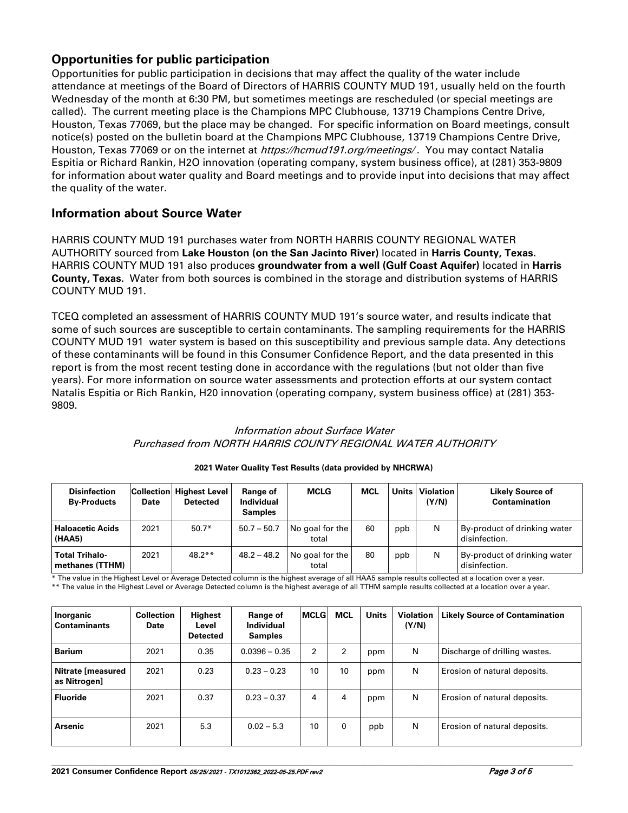## **Opportunities for public participation**

Opportunities for public participation in decisions that may affect the quality of the water include attendance at meetings of the Board of Directors of HARRIS COUNTY MUD 191, usually held on the fourth Wednesday of the month at 6:30 PM, but sometimes meetings are rescheduled (or special meetings are called). The current meeting place is the Champions MPC Clubhouse, 13719 Champions Centre Drive, Houston, Texas 77069, but the place may be changed. For specific information on Board meetings, consult notice(s) posted on the bulletin board at the Champions MPC Clubhouse, 13719 Champions Centre Drive, Houston, Texas 77069 or on the internet at *https://hcmud191.org/meetings*/. You may contact Natalia Espitia or Richard Rankin, H2O innovation (operating company, system business office), at (281) 353-9809 for information about water quality and Board meetings and to provide input into decisions that may affect the quality of the water.

## **Information about Source Water**

HARRIS COUNTY MUD 191 purchases water from NORTH HARRIS COUNTY REGIONAL WATER AUTHORITY sourced from **Lake Houston (on the San Jacinto River)** located in **Harris County, Texas.** HARRIS COUNTY MUD 191 also produces **groundwater from a well (Gulf Coast Aquifer)** located in **Harris County, Texas.** Water from both sources is combined in the storage and distribution systems of HARRIS COUNTY MUD 191.

TCEQ completed an assessment of HARRIS COUNTY MUD 191's source water, and results indicate that some of such sources are susceptible to certain contaminants. The sampling requirements for the HARRIS COUNTY MUD 191 water system is based on this susceptibility and previous sample data. Any detections of these contaminants will be found in this Consumer Confidence Report, and the data presented in this report is from the most recent testing done in accordance with the regulations (but not older than five years). For more information on source water assessments and protection efforts at our system contact Natalis Espitia or Rich Rankin, H20 innovation (operating company, system business office) at (281) 353- 9809.

### Information about Surface Water Purchased from NORTH HARRIS COUNTY REGIONAL WATER AUTHORITY

| <b>Disinfection</b><br><b>By-Products</b>  | Date | <b>Collection Highest Level</b><br><b>Detected</b> | Range of<br><b>Individual</b><br><b>Samples</b> | MCLG                     | <b>MCL</b> |     | Units   Violation<br>(Y/N) | <b>Likely Source of</b><br>Contamination      |
|--------------------------------------------|------|----------------------------------------------------|-------------------------------------------------|--------------------------|------------|-----|----------------------------|-----------------------------------------------|
| <b>Haloacetic Acids</b><br>(HAA5)          | 2021 | $50.7*$                                            | $50.7 - 50.7$                                   | No goal for the<br>total | 60         | ppb | N                          | By-product of drinking water<br>disinfection. |
| <b>Total Trihalo-</b><br>l methanes (TTHM) | 2021 | $48.2**$                                           | $48.2 - 48.2$                                   | No goal for the<br>total | 80         | ppb | N                          | By-product of drinking water<br>disinfection. |

#### **2021 Water Quality Test Results (data provided by NHCRWA)**

\* The value in the Highest Level or Average Detected column is the highest average of all HAA5 sample results collected at a location over a year. \*\* The value in the Highest Level or Average Detected column is the highest average of all TTHM sample results collected at a location over a year.

| Inorganic<br><b>Contaminants</b>    | <b>Collection</b><br>Date | Highest<br>Level<br><b>Detected</b> | Range of<br>Individual<br><b>Samples</b> | <b>MCLG</b>    | <b>MCL</b>   | <b>Units</b> | <b>Violation</b><br>(Y/N) | <b>Likely Source of Contamination</b> |
|-------------------------------------|---------------------------|-------------------------------------|------------------------------------------|----------------|--------------|--------------|---------------------------|---------------------------------------|
| <b>Barium</b>                       | 2021                      | 0.35                                | $0.0396 - 0.35$                          | $\overline{2}$ | $\mathbf{2}$ | ppm          | N                         | Discharge of drilling wastes.         |
| Nitrate [measured<br>  as Nitrogen] | 2021                      | 0.23                                | $0.23 - 0.23$                            | 10             | 10           | ppm          | N                         | Erosion of natural deposits.          |
| <b>Fluoride</b>                     | 2021                      | 0.37                                | $0.23 - 0.37$                            | 4              | 4            | ppm          | N                         | Erosion of natural deposits.          |
| <b>Arsenic</b>                      | 2021                      | 5.3                                 | $0.02 - 5.3$                             | 10             | 0            | ppb          | N                         | Erosion of natural deposits.          |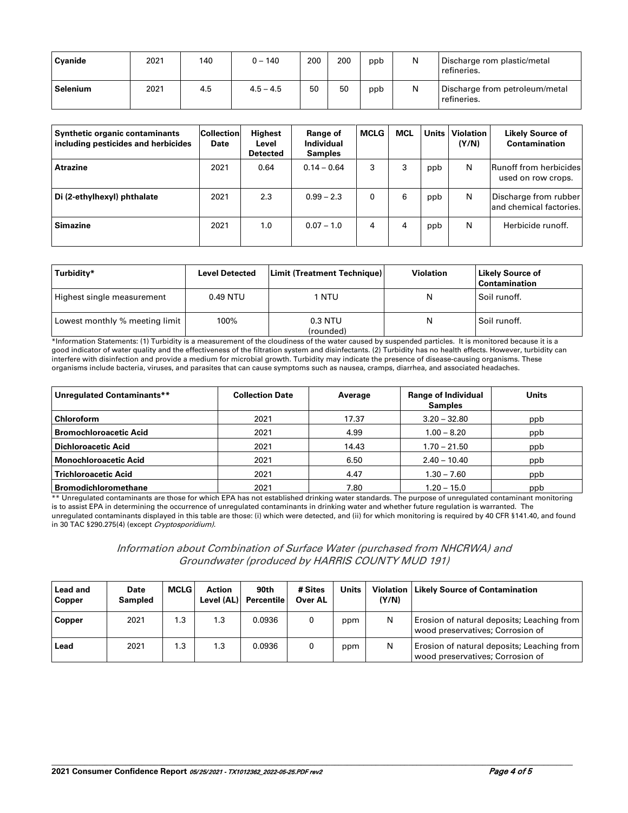| Cyanide  | 2021 | 140 | $0 - 140$   | 200 | 200 | ppb | Ν | Discharge rom plastic/metal<br>refineries.    |
|----------|------|-----|-------------|-----|-----|-----|---|-----------------------------------------------|
| Selenium | 2021 | 4.5 | $4.5 - 4.5$ | 50  | 50  | ppb | N | Discharge from petroleum/metal<br>refineries. |

| <b>Synthetic organic contaminants</b><br>including pesticides and herbicides | <b>Collection</b><br>Date | Highest<br>Level<br><b>Detected</b> | Range of<br>Individual<br><b>Samples</b> | <b>MCLG</b> | <b>MCL</b> | <b>Units</b> | <b>Violation</b><br>(Y/N) | <b>Likely Source of</b><br>Contamination            |
|------------------------------------------------------------------------------|---------------------------|-------------------------------------|------------------------------------------|-------------|------------|--------------|---------------------------|-----------------------------------------------------|
| <b>Atrazine</b>                                                              | 2021                      | 0.64                                | $0.14 - 0.64$                            | 3           | 3          | ppb          | N                         | <b>Runoff from herbicides</b><br>used on row crops. |
| Di (2-ethylhexyl) phthalate                                                  | 2021                      | 2.3                                 | $0.99 - 2.3$                             | 0           | 6          | ppb          | N                         | Discharge from rubber<br>land chemical factories.   |
| <b>Simazine</b>                                                              | 2021                      | 1.0                                 | $0.07 - 1.0$                             | 4           | 4          | ppb          | N                         | Herbicide runoff.                                   |

| Turbidity*                     | <b>Level Detected</b> | Limit (Treatment Technique) | <b>Violation</b> | <b>Likely Source of</b><br><b>Contamination</b> |
|--------------------------------|-----------------------|-----------------------------|------------------|-------------------------------------------------|
| Highest single measurement     | 0.49 NTU              | 1 NTU                       | N                | Soil runoff.                                    |
| Lowest monthly % meeting limit | 100%                  | 0.3 NTU<br>(rounded)        | N                | Soil runoff.                                    |

\*Information Statements: (1) Turbidity is a measurement of the cloudiness of the water caused by suspended particles. It is monitored because it is a good indicator of water quality and the effectiveness of the filtration system and disinfectants. (2) Turbidity has no health effects. However, turbidity can interfere with disinfection and provide a medium for microbial growth. Turbidity may indicate the presence of disease-causing organisms. These organisms include bacteria, viruses, and parasites that can cause symptoms such as nausea, cramps, diarrhea, and associated headaches.

| Unregulated Contaminants**    | <b>Collection Date</b> | Average | <b>Range of Individual</b><br><b>Samples</b> | <b>Units</b> |
|-------------------------------|------------------------|---------|----------------------------------------------|--------------|
| <b>Chloroform</b>             | 2021                   | 17.37   | $3.20 - 32.80$                               | ppb          |
| <b>Bromochloroacetic Acid</b> | 2021                   | 4.99    | $1.00 - 8.20$                                | ppb          |
| <b>Dichloroacetic Acid</b>    | 2021                   | 14.43   | $1.70 - 21.50$                               | ppb          |
| <b>Monochloroacetic Acid</b>  | 2021                   | 6.50    | $2.40 - 10.40$                               | ppb          |
| <b>Trichloroacetic Acid</b>   | 2021                   | 4.47    | $1.30 - 7.60$                                | ppb          |
| <b>Bromodichloromethane</b>   | 2021                   | 7.80    | $1.20 - 15.0$                                | ppb          |

\*\* Unregulated contaminants are those for which EPA has not established drinking water standards. The purpose of unregulated contaminant monitoring is to assist EPA in determining the occurrence of unregulated contaminants in drinking water and whether future regulation is warranted. The unregulated contaminants displayed in this table are those: (i) which were detected, and (ii) for which monitoring is required by 40 CFR §141.40, and found in 30 TAC §290.275(4) (except Cryptosporidium).

| Information about Combination of Surface Water (purchased from NHCRWA) and |  |
|----------------------------------------------------------------------------|--|
| Groundwater (produced by HARRIS COUNTY MUD 191)                            |  |

| <b>Lead and</b><br><b>Copper</b> | Date<br><b>Sampled</b> | <b>MCLG</b> | Action<br>Level (AL) | 90th<br><b>Percentile</b> | # Sites<br>Over AL | <b>Units</b> | (Y/N) | <b>Violation   Likely Source of Contamination</b>                              |
|----------------------------------|------------------------|-------------|----------------------|---------------------------|--------------------|--------------|-------|--------------------------------------------------------------------------------|
| Copper                           | 2021                   | 1.3         | 1.3                  | 0.0936                    |                    | ppm          | N     | Erosion of natural deposits; Leaching from<br>wood preservatives; Corrosion of |
| Lead                             | 2021                   | 1.3         | 1.3                  | 0.0936                    |                    | ppm          | N     | Erosion of natural deposits; Leaching from<br>wood preservatives; Corrosion of |

**\_\_\_\_\_\_\_\_\_\_\_\_\_\_\_\_\_\_\_\_\_\_\_\_\_\_\_\_\_\_\_\_\_\_\_\_\_\_\_\_\_\_\_\_\_\_\_\_\_\_\_\_\_\_\_\_\_\_\_\_\_\_\_\_\_\_\_\_\_\_\_\_\_\_\_\_\_\_\_\_\_\_\_\_\_\_\_\_\_\_\_\_\_\_\_\_\_\_\_\_\_\_\_\_\_\_\_\_\_\_\_\_\_\_\_\_\_\_\_\_\_\_\_\_\_\_\_**